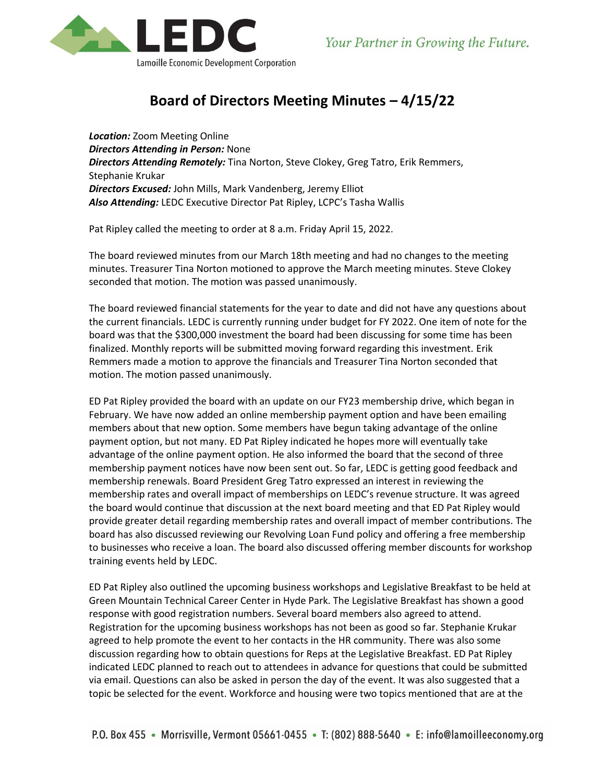

## **Board of Directors Meeting Minutes – 4/15/22**

*Location:* Zoom Meeting Online *Directors Attending in Person:* None *Directors Attending Remotely:* Tina Norton, Steve Clokey, Greg Tatro, Erik Remmers, Stephanie Krukar *Directors Excused:* John Mills, Mark Vandenberg, Jeremy Elliot *Also Attending:* LEDC Executive Director Pat Ripley, LCPC's Tasha Wallis

Pat Ripley called the meeting to order at 8 a.m. Friday April 15, 2022.

The board reviewed minutes from our March 18th meeting and had no changes to the meeting minutes. Treasurer Tina Norton motioned to approve the March meeting minutes. Steve Clokey seconded that motion. The motion was passed unanimously.

The board reviewed financial statements for the year to date and did not have any questions about the current financials. LEDC is currently running under budget for FY 2022. One item of note for the board was that the \$300,000 investment the board had been discussing for some time has been finalized. Monthly reports will be submitted moving forward regarding this investment. Erik Remmers made a motion to approve the financials and Treasurer Tina Norton seconded that motion. The motion passed unanimously.

ED Pat Ripley provided the board with an update on our FY23 membership drive, which began in February. We have now added an online membership payment option and have been emailing members about that new option. Some members have begun taking advantage of the online payment option, but not many. ED Pat Ripley indicated he hopes more will eventually take advantage of the online payment option. He also informed the board that the second of three membership payment notices have now been sent out. So far, LEDC is getting good feedback and membership renewals. Board President Greg Tatro expressed an interest in reviewing the membership rates and overall impact of memberships on LEDC's revenue structure. It was agreed the board would continue that discussion at the next board meeting and that ED Pat Ripley would provide greater detail regarding membership rates and overall impact of member contributions. The board has also discussed reviewing our Revolving Loan Fund policy and offering a free membership to businesses who receive a loan. The board also discussed offering member discounts for workshop training events held by LEDC.

ED Pat Ripley also outlined the upcoming business workshops and Legislative Breakfast to be held at Green Mountain Technical Career Center in Hyde Park. The Legislative Breakfast has shown a good response with good registration numbers. Several board members also agreed to attend. Registration for the upcoming business workshops has not been as good so far. Stephanie Krukar agreed to help promote the event to her contacts in the HR community. There was also some discussion regarding how to obtain questions for Reps at the Legislative Breakfast. ED Pat Ripley indicated LEDC planned to reach out to attendees in advance for questions that could be submitted via email. Questions can also be asked in person the day of the event. It was also suggested that a topic be selected for the event. Workforce and housing were two topics mentioned that are at the